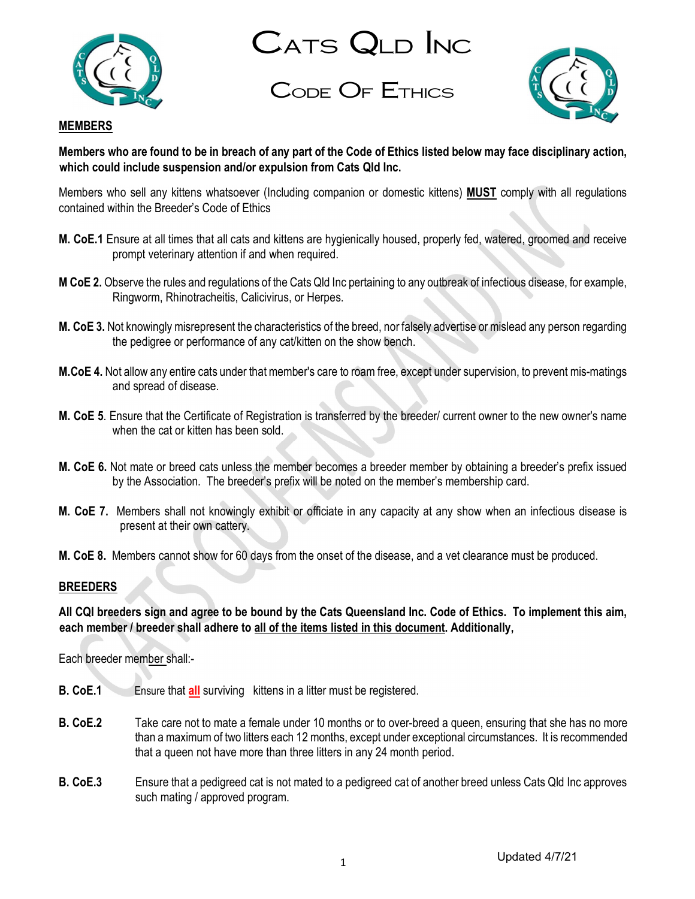

CATS QLD INC

Code Of Ethics



#### **MEMBERS**

Members who are found to be in breach of any part of the Code of Ethics listed below may face disciplinary action, which could include suspension and/or expulsion from Cats Qld Inc.

Members who sell any kittens whatsoever (Including companion or domestic kittens) MUST comply with all regulations contained within the Breeder's Code of Ethics

- M. CoE.1 Ensure at all times that all cats and kittens are hygienically housed, properly fed, watered, groomed and receive prompt veterinary attention if and when required.
- M CoE 2. Observe the rules and regulations of the Cats Qld Inc pertaining to any outbreak of infectious disease, for example, Ringworm, Rhinotracheitis, Calicivirus, or Herpes.
- M. CoE 3. Not knowingly misrepresent the characteristics of the breed, nor falsely advertise or mislead any person regarding the pedigree or performance of any cat/kitten on the show bench.
- M.CoE 4. Not allow any entire cats under that member's care to roam free, except under supervision, to prevent mis-matings and spread of disease.
- M. CoE 5. Ensure that the Certificate of Registration is transferred by the breeder/ current owner to the new owner's name when the cat or kitten has been sold.
- M. CoE 6. Not mate or breed cats unless the member becomes a breeder member by obtaining a breeder's prefix issued by the Association. The breeder's prefix will be noted on the member's membership card.
- M. CoE 7. Members shall not knowingly exhibit or officiate in any capacity at any show when an infectious disease is present at their own cattery.
- M. CoE 8. Members cannot show for 60 days from the onset of the disease, and a vet clearance must be produced.

#### BREEDERS

All CQI breeders sign and agree to be bound by the Cats Queensland Inc. Code of Ethics. To implement this aim, each member / breeder shall adhere to all of the items listed in this document. Additionally,

Each breeder member shall:-

- **B. CoE.1** Ensure that **all** surviving kittens in a litter must be registered.
- B. CoE.2 Take care not to mate a female under 10 months or to over-breed a queen, ensuring that she has no more than a maximum of two litters each 12 months, except under exceptional circumstances. It is recommended that a queen not have more than three litters in any 24 month period.
- B. CoE.3 Ensure that a pedigreed cat is not mated to a pedigreed cat of another breed unless Cats Qld Inc approves such mating / approved program.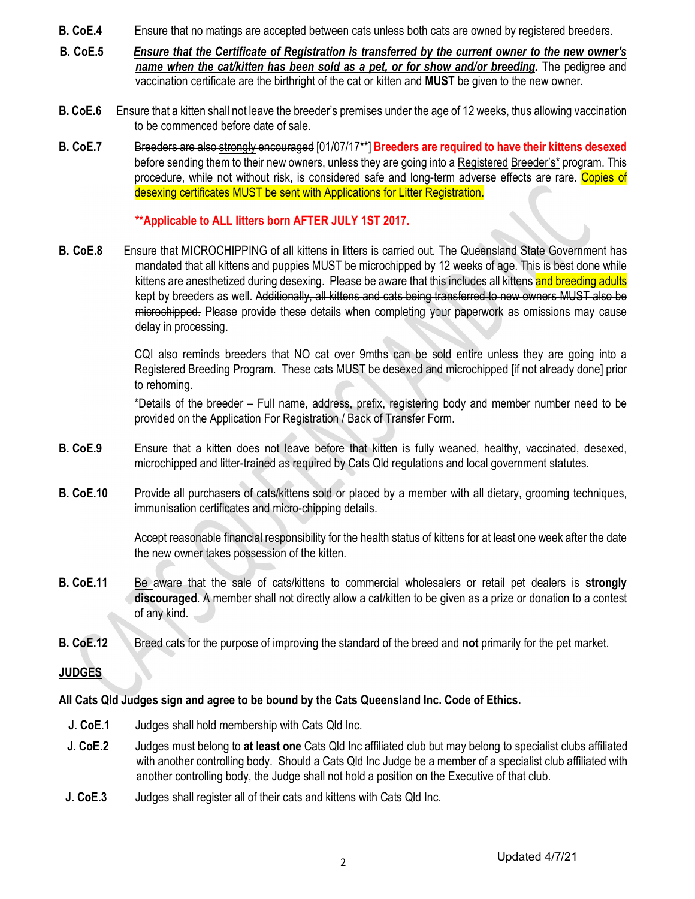- B. CoE.4 Ensure that no matings are accepted between cats unless both cats are owned by registered breeders.
- B. CoE.5 Ensure that the Certificate of Registration is transferred by the current owner to the new owner's name when the cat/kitten has been sold as a pet, or for show and/or breeding. The pedigree and vaccination certificate are the birthright of the cat or kitten and **MUST** be given to the new owner.
- B. CoE.6 Ensure that a kitten shall not leave the breeder's premises under the age of 12 weeks, thus allowing vaccination to be commenced before date of sale.
- B. CoE.7 Breeders are also strongly encouraged [01/07/17\*\*] Breeders are required to have their kittens desexed before sending them to their new owners, unless they are going into a Registered Breeder's\* program. This procedure, while not without risk, is considered safe and long-term adverse effects are rare. Copies of desexing certificates MUST be sent with Applications for Litter Registration.

#### \*\*Applicable to ALL litters born AFTER JULY 1ST 2017.

B. CoE.8 Ensure that MICROCHIPPING of all kittens in litters is carried out. The Queensland State Government has mandated that all kittens and puppies MUST be microchipped by 12 weeks of age. This is best done while kittens are anesthetized during desexing. Please be aware that this includes all kittens and breeding adults kept by breeders as well. Additionally, all kittens and cats being transferred to new owners MUST also be microchipped. Please provide these details when completing your paperwork as omissions may cause delay in processing.

> CQI also reminds breeders that NO cat over 9mths can be sold entire unless they are going into a Registered Breeding Program. These cats MUST be desexed and microchipped [if not already done] prior to rehoming.

> \*Details of the breeder – Full name, address, prefix, registering body and member number need to be provided on the Application For Registration / Back of Transfer Form.

- B. CoE.9 Ensure that a kitten does not leave before that kitten is fully weaned, healthy, vaccinated, desexed, microchipped and litter-trained as required by Cats Qld regulations and local government statutes.
- B. CoE.10 Provide all purchasers of cats/kittens sold or placed by a member with all dietary, grooming techniques, immunisation certificates and micro-chipping details.

 Accept reasonable financial responsibility for the health status of kittens for at least one week after the date the new owner takes possession of the kitten.

- B. CoE.11 Be aware that the sale of cats/kittens to commercial wholesalers or retail pet dealers is strongly discouraged. A member shall not directly allow a cat/kitten to be given as a prize or donation to a contest of any kind.
- B. CoE.12 Breed cats for the purpose of improving the standard of the breed and not primarily for the pet market.

#### **JUDGES**

#### All Cats Qld Judges sign and agree to be bound by the Cats Queensland Inc. Code of Ethics.

- J. CoE.1 Judges shall hold membership with Cats Qld Inc.
- J. CoE.2 Judges must belong to at least one Cats Qld Inc affiliated club but may belong to specialist clubs affiliated with another controlling body. Should a Cats Qld Inc Judge be a member of a specialist club affiliated with another controlling body, the Judge shall not hold a position on the Executive of that club.
- J. CoE.3 Judges shall register all of their cats and kittens with Cats Qld Inc.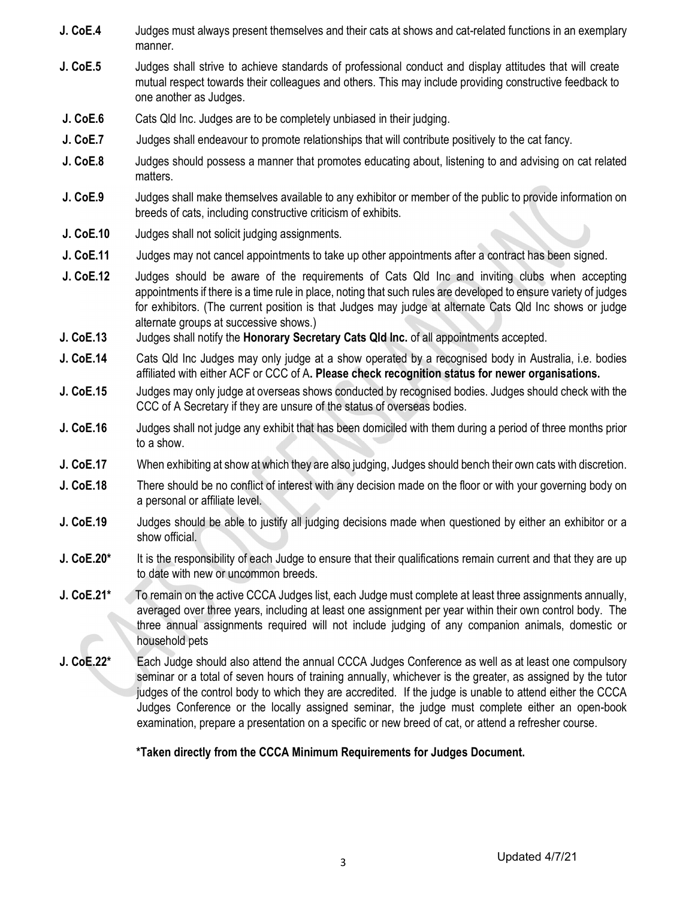- J. CoE.4 Judges must always present themselves and their cats at shows and cat-related functions in an exemplary manner.
- **J. CoE.5** Judges shall strive to achieve standards of professional conduct and display attitudes that will create mutual respect towards their colleagues and others. This may include providing constructive feedback to one another as Judges.
- **J. CoE.6** Cats Qld Inc. Judges are to be completely unbiased in their judging.
- **J. CoE.7** Judges shall endeavour to promote relationships that will contribute positively to the cat fancy.
- J. CoE.8 Judges should possess a manner that promotes educating about, listening to and advising on cat related matters.
- J. CoE.9 Judges shall make themselves available to any exhibitor or member of the public to provide information on breeds of cats, including constructive criticism of exhibits.
- **J. CoE.10** Judges shall not solicit judging assignments.
- J. CoE.11 Judges may not cancel appointments to take up other appointments after a contract has been signed.
- J. CoE.12 Judges should be aware of the requirements of Cats Qld Inc and inviting clubs when accepting appointments if there is a time rule in place, noting that such rules are developed to ensure variety of judges for exhibitors. (The current position is that Judges may judge at alternate Cats Qld Inc shows or judge alternate groups at successive shows.)
- J. CoE.13 Judges shall notify the Honorary Secretary Cats Qld Inc. of all appointments accepted.
- J. CoE.14 Cats Qld Inc Judges may only judge at a show operated by a recognised body in Australia, i.e. bodies affiliated with either ACF or CCC of A. Please check recognition status for newer organisations.
- **J. CoE.15** Judges may only judge at overseas shows conducted by recognised bodies. Judges should check with the CCC of A Secretary if they are unsure of the status of overseas bodies.
- **J. CoE.16** Judges shall not judge any exhibit that has been domiciled with them during a period of three months prior to a show.
- J. CoE.17 When exhibiting at show at which they are also judging, Judges should bench their own cats with discretion.
- J. CoE.18 There should be no conflict of interest with any decision made on the floor or with your governing body on a personal or affiliate level.
- **J. CoE.19** Judges should be able to justify all judging decisions made when questioned by either an exhibitor or a show official.
- **J. CoE.20<sup>\*</sup>** It is the responsibility of each Judge to ensure that their qualifications remain current and that they are up to date with new or uncommon breeds.
- J. CoE.21<sup>\*</sup> To remain on the active CCCA Judges list, each Judge must complete at least three assignments annually, averaged over three years, including at least one assignment per year within their own control body. The three annual assignments required will not include judging of any companion animals, domestic or household pets
- J. CoE.22<sup>\*</sup> Each Judge should also attend the annual CCCA Judges Conference as well as at least one compulsory seminar or a total of seven hours of training annually, whichever is the greater, as assigned by the tutor judges of the control body to which they are accredited. If the judge is unable to attend either the CCCA Judges Conference or the locally assigned seminar, the judge must complete either an open-book examination, prepare a presentation on a specific or new breed of cat, or attend a refresher course.

\*Taken directly from the CCCA Minimum Requirements for Judges Document.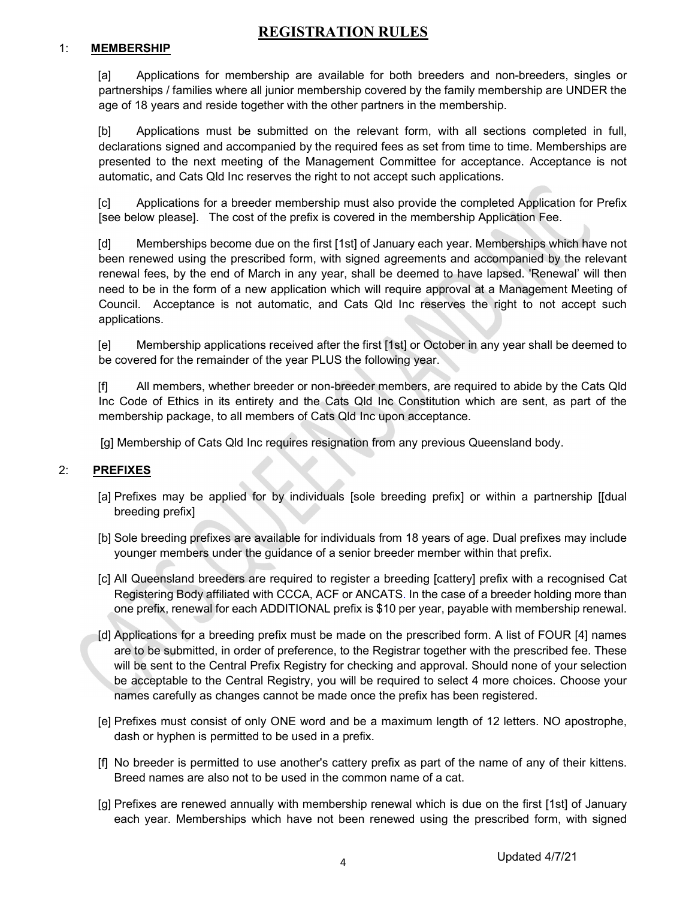# REGISTRATION RULES

#### 1: MEMBERSHIP

[a] Applications for membership are available for both breeders and non-breeders, singles or partnerships / families where all junior membership covered by the family membership are UNDER the age of 18 years and reside together with the other partners in the membership.

[b] Applications must be submitted on the relevant form, with all sections completed in full, declarations signed and accompanied by the required fees as set from time to time. Memberships are presented to the next meeting of the Management Committee for acceptance. Acceptance is not automatic, and Cats Qld Inc reserves the right to not accept such applications.

[c] Applications for a breeder membership must also provide the completed Application for Prefix [see below please]. The cost of the prefix is covered in the membership Application Fee.

[d] Memberships become due on the first [1st] of January each year. Memberships which have not been renewed using the prescribed form, with signed agreements and accompanied by the relevant renewal fees, by the end of March in any year, shall be deemed to have lapsed. 'Renewal' will then need to be in the form of a new application which will require approval at a Management Meeting of Council. Acceptance is not automatic, and Cats Qld Inc reserves the right to not accept such applications.

[e] Membership applications received after the first [1st] or October in any year shall be deemed to be covered for the remainder of the year PLUS the following year.

[f] All members, whether breeder or non-breeder members, are required to abide by the Cats Qld Inc Code of Ethics in its entirety and the Cats Qld Inc Constitution which are sent, as part of the membership package, to all members of Cats Qld Inc upon acceptance.

[g] Membership of Cats Qld Inc requires resignation from any previous Queensland body.

#### 2: PREFIXES

- [a] Prefixes may be applied for by individuals [sole breeding prefix] or within a partnership [[dual breeding prefix]
- [b] Sole breeding prefixes are available for individuals from 18 years of age. Dual prefixes may include younger members under the guidance of a senior breeder member within that prefix.
- [c] All Queensland breeders are required to register a breeding [cattery] prefix with a recognised Cat Registering Body affiliated with CCCA, ACF or ANCATS. In the case of a breeder holding more than one prefix, renewal for each ADDITIONAL prefix is \$10 per year, payable with membership renewal.
- [d] Applications for a breeding prefix must be made on the prescribed form. A list of FOUR [4] names are to be submitted, in order of preference, to the Registrar together with the prescribed fee. These will be sent to the Central Prefix Registry for checking and approval. Should none of your selection be acceptable to the Central Registry, you will be required to select 4 more choices. Choose your names carefully as changes cannot be made once the prefix has been registered.
- [e] Prefixes must consist of only ONE word and be a maximum length of 12 letters. NO apostrophe, dash or hyphen is permitted to be used in a prefix.
- [f] No breeder is permitted to use another's cattery prefix as part of the name of any of their kittens. Breed names are also not to be used in the common name of a cat.
- [g] Prefixes are renewed annually with membership renewal which is due on the first [1st] of January each year. Memberships which have not been renewed using the prescribed form, with signed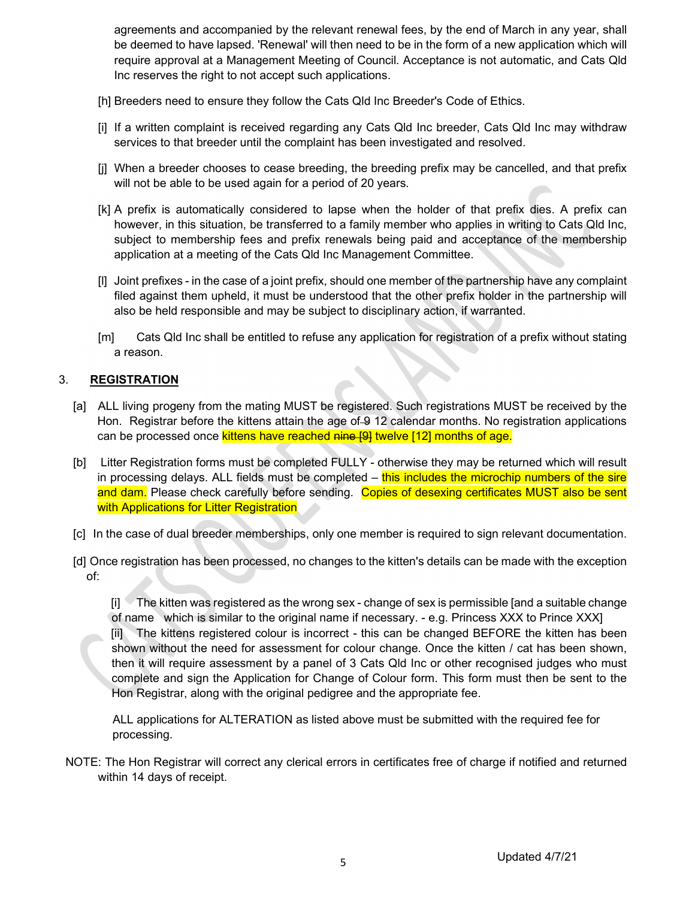agreements and accompanied by the relevant renewal fees, by the end of March in any year, shall be deemed to have lapsed. 'Renewal' will then need to be in the form of a new application which will require approval at a Management Meeting of Council. Acceptance is not automatic, and Cats Qld Inc reserves the right to not accept such applications.

- [h] Breeders need to ensure they follow the Cats Qld Inc Breeder's Code of Ethics.
- [i] If a written complaint is received regarding any Cats Qld Inc breeder, Cats Qld Inc may withdraw services to that breeder until the complaint has been investigated and resolved.
- [j] When a breeder chooses to cease breeding, the breeding prefix may be cancelled, and that prefix will not be able to be used again for a period of 20 years.
- [k] A prefix is automatically considered to lapse when the holder of that prefix dies. A prefix can however, in this situation, be transferred to a family member who applies in writing to Cats Qld Inc, subject to membership fees and prefix renewals being paid and acceptance of the membership application at a meeting of the Cats Qld Inc Management Committee.
- [l] Joint prefixes in the case of a joint prefix, should one member of the partnership have any complaint filed against them upheld, it must be understood that the other prefix holder in the partnership will also be held responsible and may be subject to disciplinary action, if warranted.
- [m] Cats Qld Inc shall be entitled to refuse any application for registration of a prefix without stating a reason.

#### 3. REGISTRATION

- [a] ALL living progeny from the mating MUST be registered. Such registrations MUST be received by the Hon. Registrar before the kittens attain the age of 9 12 calendar months. No registration applications can be processed once kittens have reached nine [9] twelve [12] months of age.
- [b] Litter Registration forms must be completed FULLY otherwise they may be returned which will result in processing delays. ALL fields must be completed – this includes the microchip numbers of the sire and dam. Please check carefully before sending. Copies of desexing certificates MUST also be sent with Applications for Litter Registration
- [c] In the case of dual breeder memberships, only one member is required to sign relevant documentation.
- [d] Once registration has been processed, no changes to the kitten's details can be made with the exception of:

[i] The kitten was registered as the wrong sex - change of sex is permissible [and a suitable change of name which is similar to the original name if necessary. - e.g. Princess XXX to Prince XXX] [ii] The kittens registered colour is incorrect - this can be changed BEFORE the kitten has been shown without the need for assessment for colour change. Once the kitten / cat has been shown, then it will require assessment by a panel of 3 Cats Qld Inc or other recognised judges who must complete and sign the Application for Change of Colour form. This form must then be sent to the Hon Registrar, along with the original pedigree and the appropriate fee.

 ALL applications for ALTERATION as listed above must be submitted with the required fee for processing.

 NOTE: The Hon Registrar will correct any clerical errors in certificates free of charge if notified and returned within 14 days of receipt.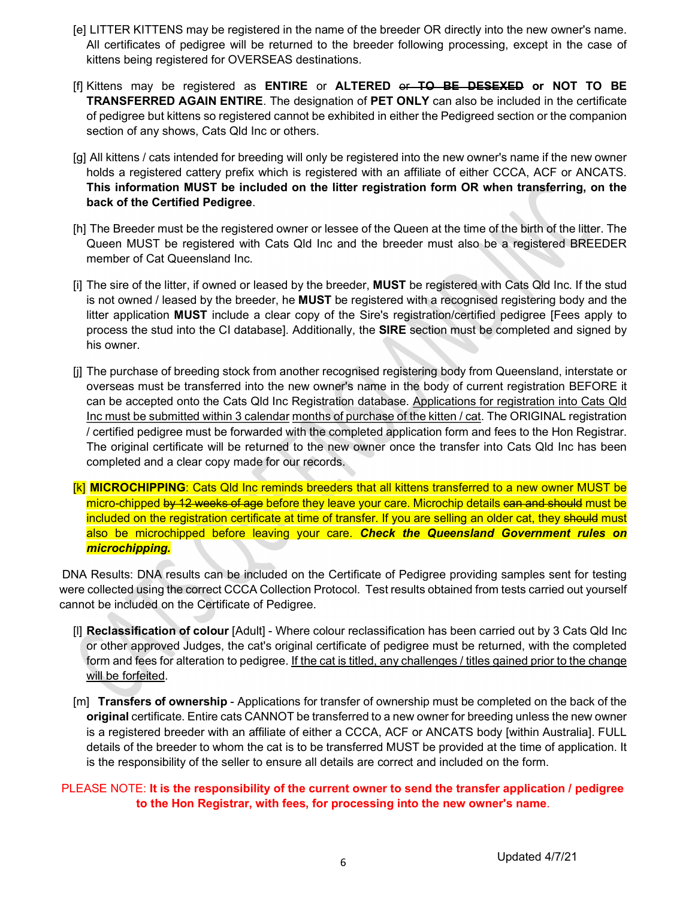- [e] LITTER KITTENS may be registered in the name of the breeder OR directly into the new owner's name. All certificates of pedigree will be returned to the breeder following processing, except in the case of kittens being registered for OVERSEAS destinations.
- [f] Kittens may be registered as ENTIRE or ALTERED or TO BE DESEXED or NOT TO BE TRANSFERRED AGAIN ENTIRE. The designation of PET ONLY can also be included in the certificate of pedigree but kittens so registered cannot be exhibited in either the Pedigreed section or the companion section of any shows, Cats Qld Inc or others.
- [g] All kittens / cats intended for breeding will only be registered into the new owner's name if the new owner holds a registered cattery prefix which is registered with an affiliate of either CCCA, ACF or ANCATS. This information MUST be included on the litter registration form OR when transferring, on the back of the Certified Pedigree.
- [h] The Breeder must be the registered owner or lessee of the Queen at the time of the birth of the litter. The Queen MUST be registered with Cats Qld Inc and the breeder must also be a registered BREEDER member of Cat Queensland Inc.
- [i] The sire of the litter, if owned or leased by the breeder, **MUST** be registered with Cats Qld Inc. If the stud is not owned / leased by the breeder, he MUST be registered with a recognised registering body and the litter application MUST include a clear copy of the Sire's registration/certified pedigree [Fees apply to process the stud into the CI database]. Additionally, the SIRE section must be completed and signed by his owner.
- [j] The purchase of breeding stock from another recognised registering body from Queensland, interstate or overseas must be transferred into the new owner's name in the body of current registration BEFORE it can be accepted onto the Cats Qld Inc Registration database. Applications for registration into Cats Qld Inc must be submitted within 3 calendar months of purchase of the kitten / cat. The ORIGINAL registration / certified pedigree must be forwarded with the completed application form and fees to the Hon Registrar. The original certificate will be returned to the new owner once the transfer into Cats Qld Inc has been completed and a clear copy made for our records.
- [k] MICROCHIPPING: Cats Qld Inc reminds breeders that all kittens transferred to a new owner MUST be micro-chipped by 12 weeks of age before they leave your care. Microchip details can and should must be included on the registration certificate at time of transfer. If you are selling an older cat, they should must also be microchipped before leaving your care. Check the Queensland Government rules on microchipping.

DNA Results: DNA results can be included on the Certificate of Pedigree providing samples sent for testing were collected using the correct CCCA Collection Protocol. Test results obtained from tests carried out yourself cannot be included on the Certificate of Pedigree.

- [l] Reclassification of colour [Adult] Where colour reclassification has been carried out by 3 Cats Qld Inc or other approved Judges, the cat's original certificate of pedigree must be returned, with the completed form and fees for alteration to pedigree. If the cat is titled, any challenges / titles gained prior to the change will be forfeited.
- [m] Transfers of ownership Applications for transfer of ownership must be completed on the back of the original certificate. Entire cats CANNOT be transferred to a new owner for breeding unless the new owner is a registered breeder with an affiliate of either a CCCA, ACF or ANCATS body [within Australia]. FULL details of the breeder to whom the cat is to be transferred MUST be provided at the time of application. It is the responsibility of the seller to ensure all details are correct and included on the form.

#### PLEASE NOTE: It is the responsibility of the current owner to send the transfer application / pedigree to the Hon Registrar, with fees, for processing into the new owner's name.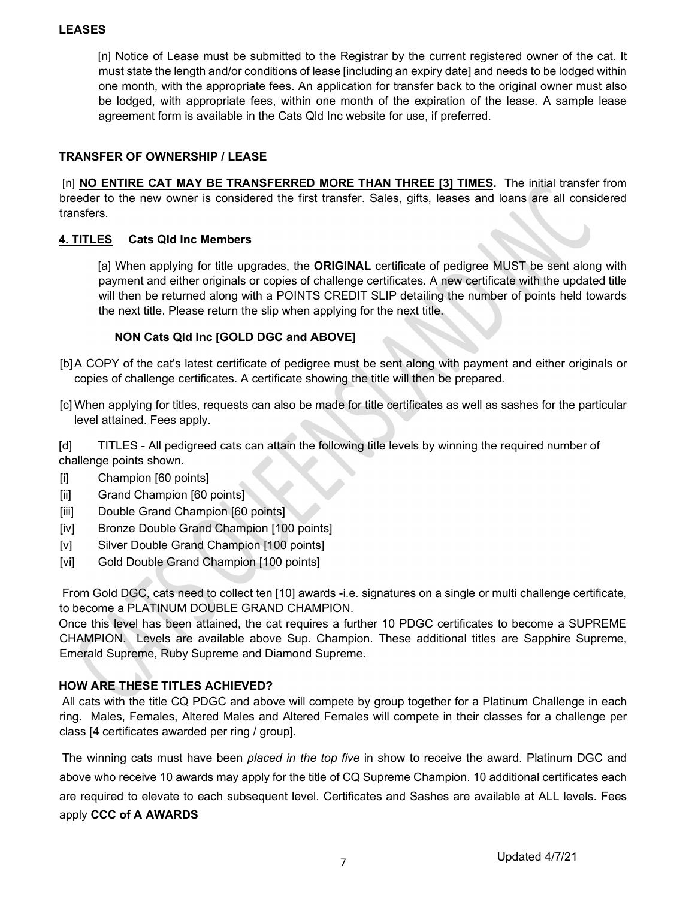#### LEASES

[n] Notice of Lease must be submitted to the Registrar by the current registered owner of the cat. It must state the length and/or conditions of lease [including an expiry date] and needs to be lodged within one month, with the appropriate fees. An application for transfer back to the original owner must also be lodged, with appropriate fees, within one month of the expiration of the lease. A sample lease agreement form is available in the Cats Qld Inc website for use, if preferred.

#### TRANSFER OF OWNERSHIP / LEASE

[n] **NO ENTIRE CAT MAY BE TRANSFERRED MORE THAN THREE [3] TIMES.** The initial transfer from breeder to the new owner is considered the first transfer. Sales, gifts, leases and loans are all considered transfers.

#### 4. TITLES Cats Qld Inc Members

[a] When applying for title upgrades, the **ORIGINAL** certificate of pedigree MUST be sent along with payment and either originals or copies of challenge certificates. A new certificate with the updated title will then be returned along with a POINTS CREDIT SLIP detailing the number of points held towards the next title. Please return the slip when applying for the next title.

#### NON Cats Qld Inc [GOLD DGC and ABOVE]

- [b] A COPY of the cat's latest certificate of pedigree must be sent along with payment and either originals or copies of challenge certificates. A certificate showing the title will then be prepared.
- [c] When applying for titles, requests can also be made for title certificates as well as sashes for the particular level attained. Fees apply.

[d] TITLES - All pedigreed cats can attain the following title levels by winning the required number of challenge points shown.

[i] Champion [60 points]

*Contract Contract Contract* 

- [ii] Grand Champion [60 points]
- [iii] Double Grand Champion [60 points]
- [iv] Bronze Double Grand Champion [100 points]
- [v] Silver Double Grand Champion [100 points]
- [vi] Gold Double Grand Champion [100 points]

 From Gold DGC, cats need to collect ten [10] awards -i.e. signatures on a single or multi challenge certificate, to become a PLATINUM DOUBLE GRAND CHAMPION.

Once this level has been attained, the cat requires a further 10 PDGC certificates to become a SUPREME CHAMPION. Levels are available above Sup. Champion. These additional titles are Sapphire Supreme, Emerald Supreme, Ruby Supreme and Diamond Supreme.

#### HOW ARE THESE TITLES ACHIEVED?

 All cats with the title CQ PDGC and above will compete by group together for a Platinum Challenge in each ring. Males, Females, Altered Males and Altered Females will compete in their classes for a challenge per class [4 certificates awarded per ring / group].

The winning cats must have been *placed in the top five* in show to receive the award. Platinum DGC and above who receive 10 awards may apply for the title of CQ Supreme Champion. 10 additional certificates each are required to elevate to each subsequent level. Certificates and Sashes are available at ALL levels. Fees apply CCC of A AWARDS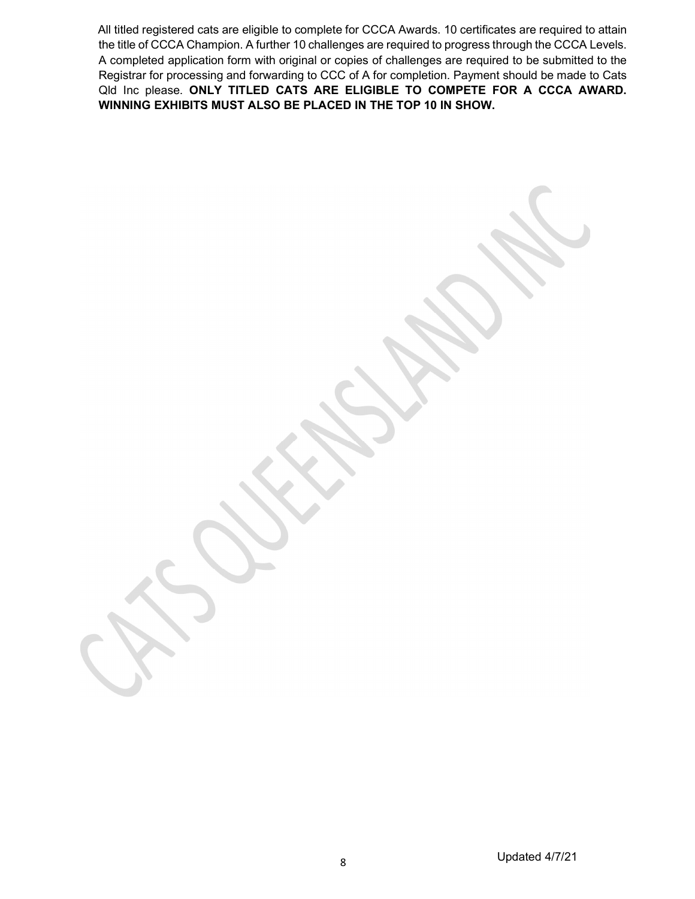All titled registered cats are eligible to complete for CCCA Awards. 10 certificates are required to attain the title of CCCA Champion. A further 10 challenges are required to progress through the CCCA Levels. A completed application form with original or copies of challenges are required to be submitted to the Registrar for processing and forwarding to CCC of A for completion. Payment should be made to Cats Qld Inc please. ONLY TITLED CATS ARE ELIGIBLE TO COMPETE FOR A CCCA AWARD. WINNING EXHIBITS MUST ALSO BE PLACED IN THE TOP 10 IN SHOW.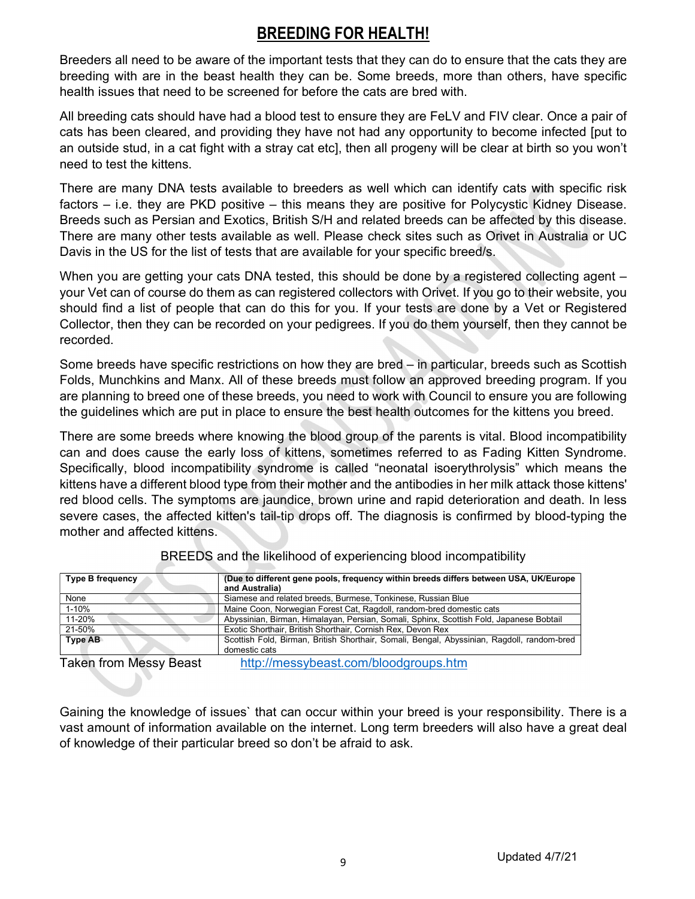# BREEDING FOR HEALTH!

Breeders all need to be aware of the important tests that they can do to ensure that the cats they are breeding with are in the beast health they can be. Some breeds, more than others, have specific health issues that need to be screened for before the cats are bred with.

All breeding cats should have had a blood test to ensure they are FeLV and FIV clear. Once a pair of cats has been cleared, and providing they have not had any opportunity to become infected [put to an outside stud, in a cat fight with a stray cat etc], then all progeny will be clear at birth so you won't need to test the kittens.

There are many DNA tests available to breeders as well which can identify cats with specific risk factors – i.e. they are PKD positive – this means they are positive for Polycystic Kidney Disease. Breeds such as Persian and Exotics, British S/H and related breeds can be affected by this disease. There are many other tests available as well. Please check sites such as Orivet in Australia or UC Davis in the US for the list of tests that are available for your specific breed/s.

When you are getting your cats DNA tested, this should be done by a registered collecting agent – your Vet can of course do them as can registered collectors with Orivet. If you go to their website, you should find a list of people that can do this for you. If your tests are done by a Vet or Registered Collector, then they can be recorded on your pedigrees. If you do them yourself, then they cannot be recorded.

Some breeds have specific restrictions on how they are bred – in particular, breeds such as Scottish Folds, Munchkins and Manx. All of these breeds must follow an approved breeding program. If you are planning to breed one of these breeds, you need to work with Council to ensure you are following the guidelines which are put in place to ensure the best health outcomes for the kittens you breed.

There are some breeds where knowing the blood group of the parents is vital. Blood incompatibility can and does cause the early loss of kittens, sometimes referred to as Fading Kitten Syndrome. Specifically, blood incompatibility syndrome is called "neonatal isoerythrolysis" which means the kittens have a different blood type from their mother and the antibodies in her milk attack those kittens' red blood cells. The symptoms are jaundice, brown urine and rapid deterioration and death. In less severe cases, the affected kitten's tail-tip drops off. The diagnosis is confirmed by blood-typing the mother and affected kittens.

| Type B frequency       | (Due to different gene pools, frequency within breeds differs between USA, UK/Europe       |
|------------------------|--------------------------------------------------------------------------------------------|
|                        | and Australia)                                                                             |
| None                   | Siamese and related breeds, Burmese, Tonkinese, Russian Blue                               |
| 1-10%                  | Maine Coon, Norwegian Forest Cat, Ragdoll, random-bred domestic cats                       |
| 11-20%                 | Abyssinian, Birman, Himalayan, Persian, Somali, Sphinx, Scottish Fold, Japanese Bobtail    |
| 21-50%                 | Exotic Shorthair, British Shorthair, Cornish Rex, Devon Rex                                |
| <b>Type AB</b>         | Scottish Fold, Birman, British Shorthair, Somali, Bengal, Abyssinian, Ragdoll, random-bred |
|                        | domestic cats                                                                              |
| Takon from Money Roact | http://moseyboast.com/bloodgroups.htm                                                      |

BREEDS and the likelihood of experiencing blood incompatibility

Taken from Messy Beast http://messybeast.com/bloodgroups.htm

Gaining the knowledge of issues` that can occur within your breed is your responsibility. There is a vast amount of information available on the internet. Long term breeders will also have a great deal of knowledge of their particular breed so don't be afraid to ask.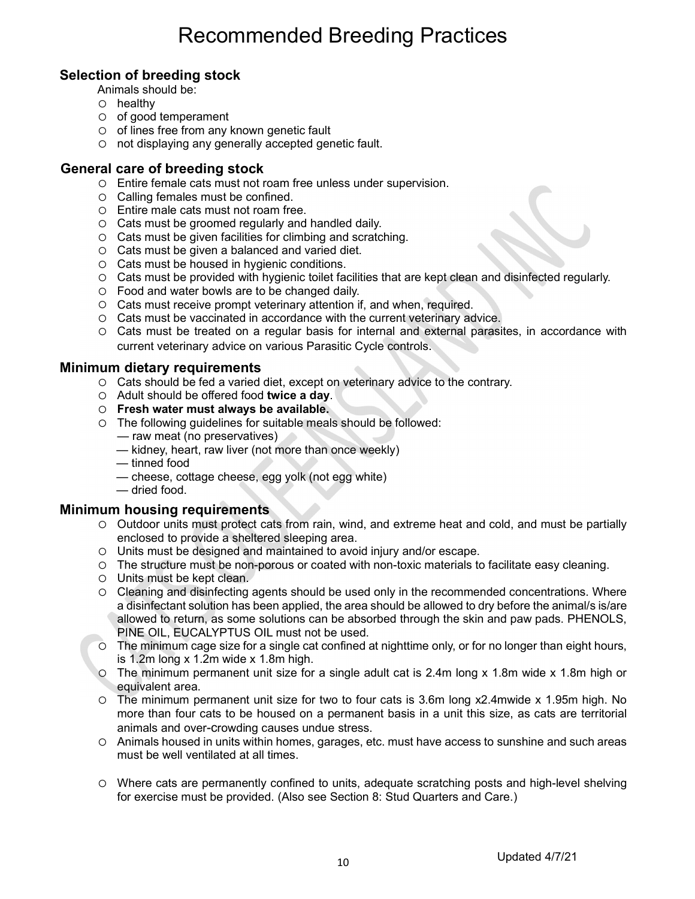# Recommended Breeding Practices

# Selection of breeding stock

- Animals should be:
- $O$  healthy
- $\circ$  of good temperament
- $\circ$  of lines free from any known genetic fault
- not displaying any generally accepted genetic fault.

#### General care of breeding stock

- Entire female cats must not roam free unless under supervision.
- $\circ$  Calling females must be confined.
- Entire male cats must not roam free.
- Cats must be groomed regularly and handled daily.
- Cats must be given facilities for climbing and scratching.
- Cats must be given a balanced and varied diet.
- $\circ$  Cats must be housed in hygienic conditions.
- Cats must be provided with hygienic toilet facilities that are kept clean and disinfected regularly.
- Food and water bowls are to be changed daily.
- O Cats must receive prompt veterinary attention if, and when, required.
- Cats must be vaccinated in accordance with the current veterinary advice.
- Cats must be treated on a regular basis for internal and external parasites, in accordance with current veterinary advice on various Parasitic Cycle controls.

#### Minimum dietary requirements

- Cats should be fed a varied diet, except on veterinary advice to the contrary.
- O Adult should be offered food twice a day.
- Fresh water must always be available.
- The following guidelines for suitable meals should be followed:
	- raw meat (no preservatives)
	- kidney, heart, raw liver (not more than once weekly)
	- tinned food
	- cheese, cottage cheese, egg yolk (not egg white)
	- dried food.

#### Minimum housing requirements

- $\circ$  Outdoor units must protect cats from rain, wind, and extreme heat and cold, and must be partially enclosed to provide a sheltered sleeping area.
- Units must be designed and maintained to avoid injury and/or escape.
- The structure must be non-porous or coated with non-toxic materials to facilitate easy cleaning.
- $\circ$  Units must be kept clean.
- Cleaning and disinfecting agents should be used only in the recommended concentrations. Where a disinfectant solution has been applied, the area should be allowed to dry before the animal/s is/are allowed to return, as some solutions can be absorbed through the skin and paw pads. PHENOLS, PINE OIL, EUCALYPTUS OIL must not be used.
- The minimum cage size for a single cat confined at nighttime only, or for no longer than eight hours, is 1.2m long x 1.2m wide x 1.8m high.
- The minimum permanent unit size for a single adult cat is 2.4m long x 1.8m wide x 1.8m high or equivalent area.
- The minimum permanent unit size for two to four cats is 3.6m long x2.4mwide x 1.95m high. No more than four cats to be housed on a permanent basis in a unit this size, as cats are territorial animals and over-crowding causes undue stress.
- Animals housed in units within homes, garages, etc. must have access to sunshine and such areas must be well ventilated at all times.
- Where cats are permanently confined to units, adequate scratching posts and high-level shelving for exercise must be provided. (Also see Section 8: Stud Quarters and Care.)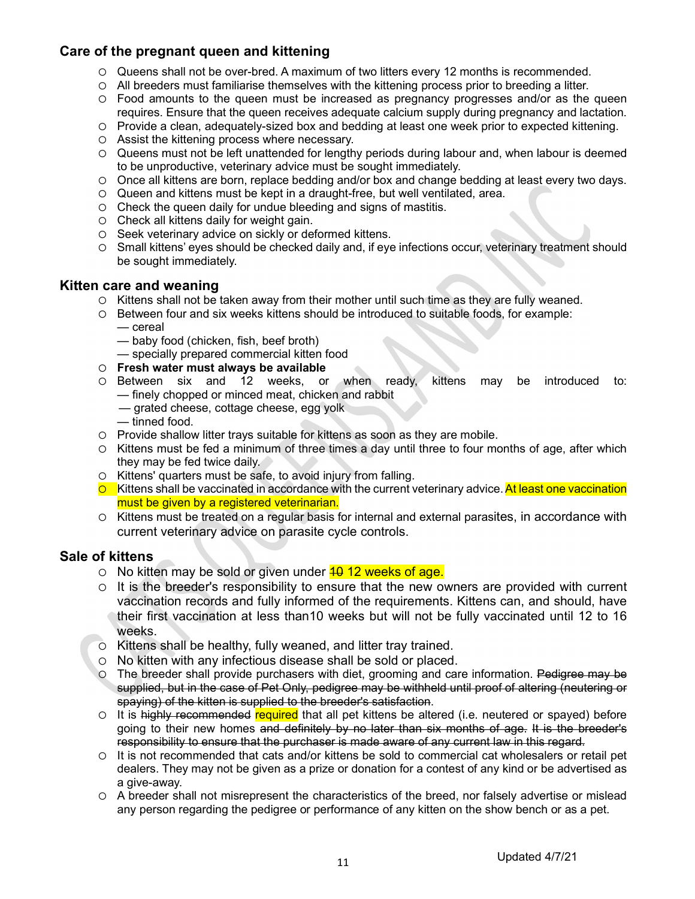# Care of the pregnant queen and kittening

- Queens shall not be over-bred. A maximum of two litters every 12 months is recommended.
- All breeders must familiarise themselves with the kittening process prior to breeding a litter.
- Food amounts to the queen must be increased as pregnancy progresses and/or as the queen requires. Ensure that the queen receives adequate calcium supply during pregnancy and lactation.
- Provide a clean, adequately-sized box and bedding at least one week prior to expected kittening.
- Assist the kittening process where necessary.
- Queens must not be left unattended for lengthy periods during labour and, when labour is deemed to be unproductive, veterinary advice must be sought immediately.
- Once all kittens are born, replace bedding and/or box and change bedding at least every two days.
- Queen and kittens must be kept in a draught-free, but well ventilated, area.
- $\circ$  Check the queen daily for undue bleeding and signs of mastitis.
- O Check all kittens daily for weight gain.
- O Seek veterinary advice on sickly or deformed kittens.
- Small kittens' eyes should be checked daily and, if eye infections occur, veterinary treatment should be sought immediately.

#### Kitten care and weaning

- Kittens shall not be taken away from their mother until such time as they are fully weaned.
- Between four and six weeks kittens should be introduced to suitable foods, for example: — cereal
	- baby food (chicken, fish, beef broth)
	- specially prepared commercial kitten food
- 
- O **Fresh water must always be available**<br>O Between six and 12 weeks, or when ready, kittens Between six and 12 weeks, or when ready, kittens may be introduced to: — finely chopped or minced meat, chicken and rabbit
	- grated cheese, cottage cheese, egg yolk
	- tinned food.
- Provide shallow litter trays suitable for kittens as soon as they are mobile.
- $\circ$  Kittens must be fed a minimum of three times a day until three to four months of age, after which they may be fed twice daily.
- $\circ$  Kittens' quarters must be safe, to avoid injury from falling.
- $\circ$  Kittens shall be vaccinated in accordance with the current veterinary advice. At least one vaccination must be given by a registered veterinarian.
- $\circ$  Kittens must be treated on a regular basis for internal and external parasites, in accordance with current veterinary advice on parasite cycle controls.

## Sale of kittens

- $\circ$  No kitten may be sold or given under  $\frac{40}{12}$  weeks of age.
- $\circ$  It is the breeder's responsibility to ensure that the new owners are provided with current vaccination records and fully informed of the requirements. Kittens can, and should, have their first vaccination at less than10 weeks but will not be fully vaccinated until 12 to 16 weeks.
- $\circ$  Kittens shall be healthy, fully weaned, and litter tray trained.
- No kitten with any infectious disease shall be sold or placed.
- O The breeder shall provide purchasers with diet, grooming and care information. Pedigree may be supplied, but in the case of Pet Only, pedigree may be withheld until proof of altering (neutering or spaying) of the kitten is supplied to the breeder's satisfaction.
- $\circ$  It is highly recommended required that all pet kittens be altered (i.e. neutered or spayed) before going to their new homes and definitely by no later than six months of age. It is the breeder's responsibility to ensure that the purchaser is made aware of any current law in this regard.
- It is not recommended that cats and/or kittens be sold to commercial cat wholesalers or retail pet dealers. They may not be given as a prize or donation for a contest of any kind or be advertised as a give-away.
- A breeder shall not misrepresent the characteristics of the breed, nor falsely advertise or mislead any person regarding the pedigree or performance of any kitten on the show bench or as a pet.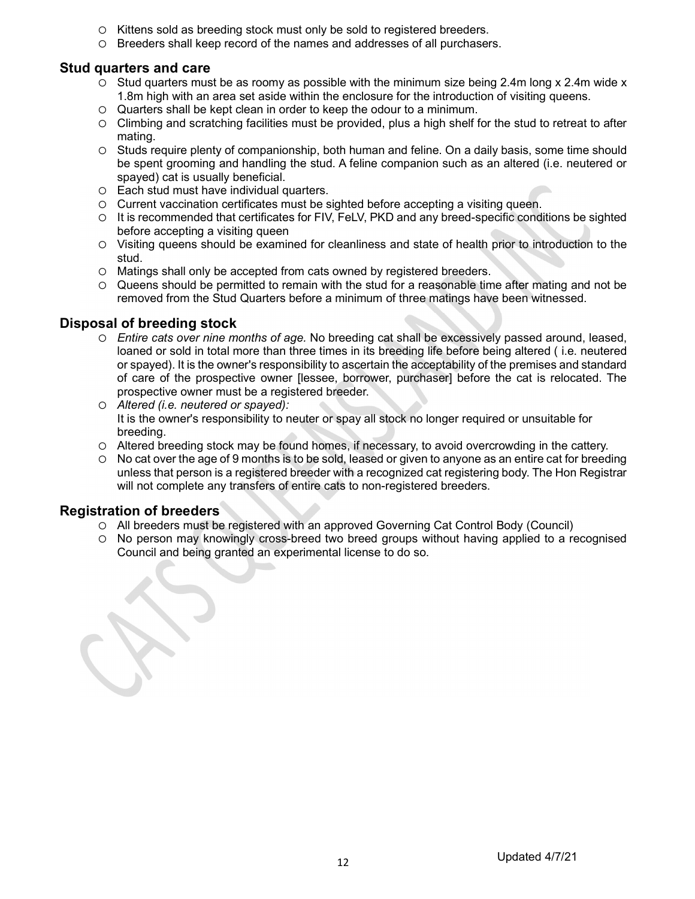- O Kittens sold as breeding stock must only be sold to registered breeders.
- Breeders shall keep record of the names and addresses of all purchasers.

## Stud quarters and care

- $\circ$  Stud quarters must be as roomy as possible with the minimum size being 2.4m long x 2.4m wide x 1.8m high with an area set aside within the enclosure for the introduction of visiting queens.
- Quarters shall be kept clean in order to keep the odour to a minimum.
- Climbing and scratching facilities must be provided, plus a high shelf for the stud to retreat to after mating.
- Studs require plenty of companionship, both human and feline. On a daily basis, some time should be spent grooming and handling the stud. A feline companion such as an altered (i.e. neutered or spayed) cat is usually beneficial.
- Each stud must have individual quarters.
- $\circ$  Current vaccination certificates must be sighted before accepting a visiting queen.
- It is recommended that certificates for FIV, FeLV, PKD and any breed-specific conditions be sighted before accepting a visiting queen
- Visiting queens should be examined for cleanliness and state of health prior to introduction to the stud.
- Matings shall only be accepted from cats owned by registered breeders.
- $\circ$  Queens should be permitted to remain with the stud for a reasonable time after mating and not be removed from the Stud Quarters before a minimum of three matings have been witnessed.

## Disposal of breeding stock

- Entire cats over nine months of age. No breeding cat shall be excessively passed around, leased, loaned or sold in total more than three times in its breeding life before being altered ( i.e. neutered or spayed). It is the owner's responsibility to ascertain the acceptability of the premises and standard of care of the prospective owner [lessee, borrower, purchaser] before the cat is relocated. The prospective owner must be a registered breeder.
- Altered (i.e. neutered or spayed): It is the owner's responsibility to neuter or spay all stock no longer required or unsuitable for breeding.
- Altered breeding stock may be found homes, if necessary, to avoid overcrowding in the cattery.
- $\circ$  No cat over the age of 9 months is to be sold, leased or given to anyone as an entire cat for breeding unless that person is a registered breeder with a recognized cat registering body. The Hon Registrar will not complete any transfers of entire cats to non-registered breeders.

## Registration of breeders

- All breeders must be registered with an approved Governing Cat Control Body (Council)
- No person may knowingly cross-breed two breed groups without having applied to a recognised Council and being granted an experimental license to do so.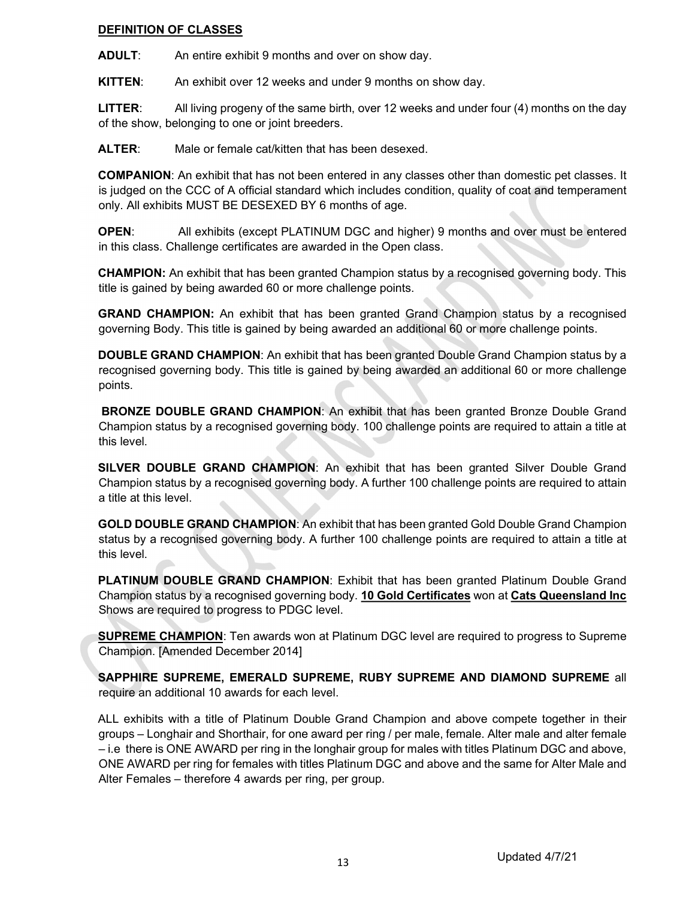#### DEFINITION OF CLASSES

ADULT: An entire exhibit 9 months and over on show day.

KITTEN: An exhibit over 12 weeks and under 9 months on show day.

LITTER: All living progeny of the same birth, over 12 weeks and under four (4) months on the day of the show, belonging to one or joint breeders.

ALTER: Male or female cat/kitten that has been desexed.

COMPANION: An exhibit that has not been entered in any classes other than domestic pet classes. It is judged on the CCC of A official standard which includes condition, quality of coat and temperament only. All exhibits MUST BE DESEXED BY 6 months of age.

OPEN: All exhibits (except PLATINUM DGC and higher) 9 months and over must be entered in this class. Challenge certificates are awarded in the Open class.

CHAMPION: An exhibit that has been granted Champion status by a recognised governing body. This title is gained by being awarded 60 or more challenge points.

GRAND CHAMPION: An exhibit that has been granted Grand Champion status by a recognised governing Body. This title is gained by being awarded an additional 60 or more challenge points.

DOUBLE GRAND CHAMPION: An exhibit that has been granted Double Grand Champion status by a recognised governing body. This title is gained by being awarded an additional 60 or more challenge points.

BRONZE DOUBLE GRAND CHAMPION: An exhibit that has been granted Bronze Double Grand Champion status by a recognised governing body. 100 challenge points are required to attain a title at this level.

SILVER DOUBLE GRAND CHAMPION: An exhibit that has been granted Silver Double Grand Champion status by a recognised governing body. A further 100 challenge points are required to attain a title at this level.

GOLD DOUBLE GRAND CHAMPION: An exhibit that has been granted Gold Double Grand Champion status by a recognised governing body. A further 100 challenge points are required to attain a title at this level.

PLATINUM DOUBLE GRAND CHAMPION: Exhibit that has been granted Platinum Double Grand Champion status by a recognised governing body. 10 Gold Certificates won at Cats Queensland Inc Shows are required to progress to PDGC level.

**SUPREME CHAMPION:** Ten awards won at Platinum DGC level are required to progress to Supreme Champion. [Amended December 2014]

SAPPHIRE SUPREME, EMERALD SUPREME, RUBY SUPREME AND DIAMOND SUPREME all require an additional 10 awards for each level.

ALL exhibits with a title of Platinum Double Grand Champion and above compete together in their groups – Longhair and Shorthair, for one award per ring / per male, female. Alter male and alter female – i.e there is ONE AWARD per ring in the longhair group for males with titles Platinum DGC and above, ONE AWARD per ring for females with titles Platinum DGC and above and the same for Alter Male and Alter Females – therefore 4 awards per ring, per group.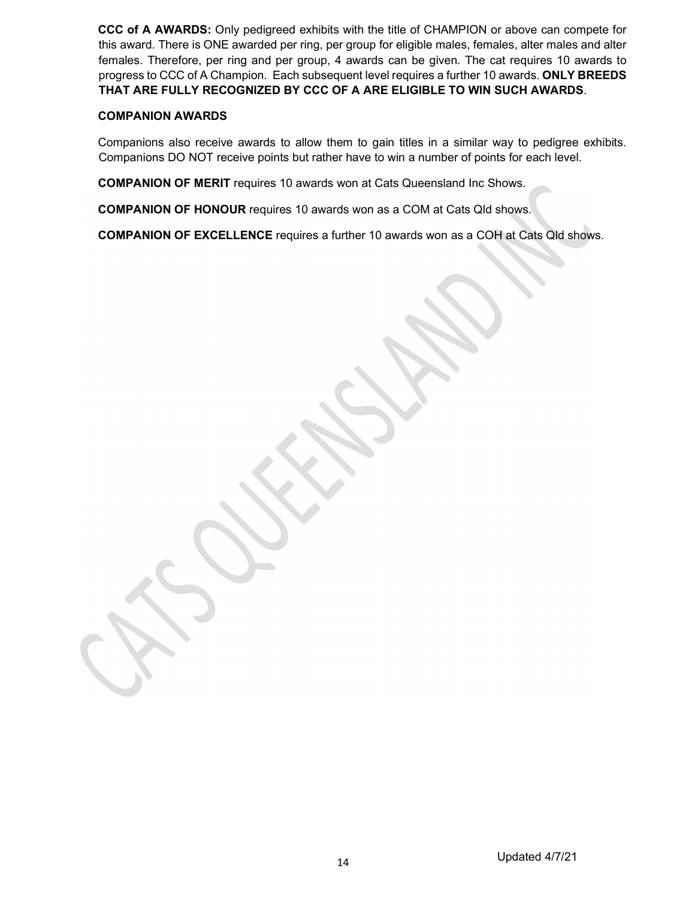CCC of A AWARDS: Only pedigreed exhibits with the title of CHAMPION or above can compete for this award. There is ONE awarded per ring, per group for eligible males, females, alter males and alter females. Therefore, per ring and per group, 4 awards can be given. The cat requires 10 awards to progress to CCC of A Champion. Each subsequent level requires a further 10 awards. ONLY BREEDS THAT ARE FULLY RECOGNIZED BY CCC OF A ARE ELIGIBLE TO WIN SUCH AWARDS.

#### COMPANION AWARDS

Companions also receive awards to allow them to gain titles in a similar way to pedigree exhibits. Companions DO NOT receive points but rather have to win a number of points for each level.

COMPANION OF MERIT requires 10 awards won at Cats Queensland Inc Shows.

COMPANION OF HONOUR requires 10 awards won as a COM at Cats Qld shows.

COMPANION OF EXCELLENCE requires a further 10 awards won as a COH at Cats Qld shows.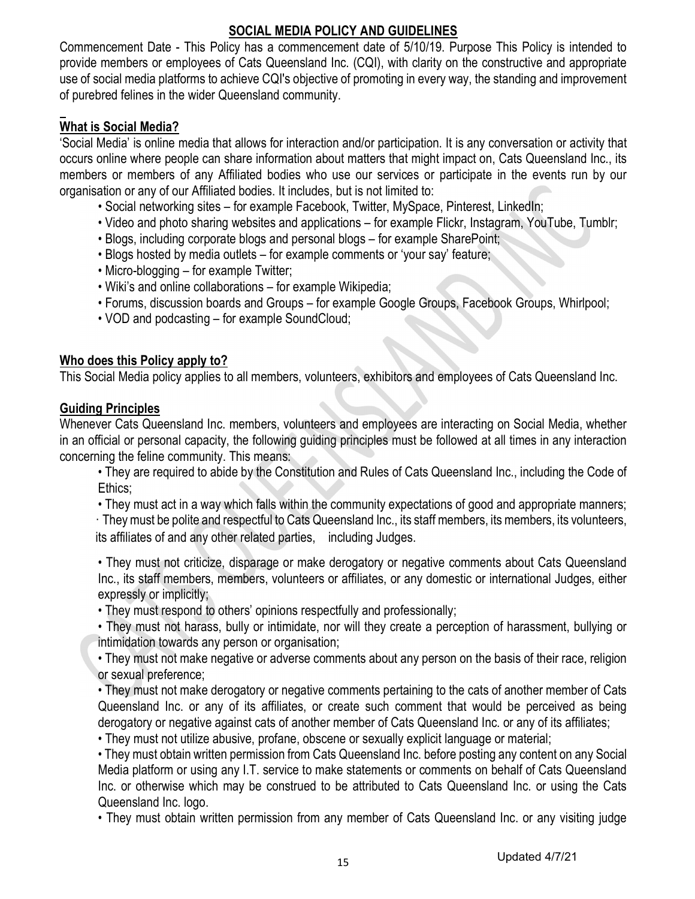# SOCIAL MEDIA POLICY AND GUIDELINES

Commencement Date - This Policy has a commencement date of 5/10/19. Purpose This Policy is intended to provide members or employees of Cats Queensland Inc. (CQI), with clarity on the constructive and appropriate use of social media platforms to achieve CQI's objective of promoting in every way, the standing and improvement of purebred felines in the wider Queensland community.

# What is Social Media?

'Social Media' is online media that allows for interaction and/or participation. It is any conversation or activity that occurs online where people can share information about matters that might impact on, Cats Queensland Inc., its members or members of any Affiliated bodies who use our services or participate in the events run by our organisation or any of our Affiliated bodies. It includes, but is not limited to:

- Social networking sites for example Facebook, Twitter, MySpace, Pinterest, LinkedIn;
- Video and photo sharing websites and applications for example Flickr, Instagram, YouTube, Tumblr;
- Blogs, including corporate blogs and personal blogs for example SharePoint;
- Blogs hosted by media outlets for example comments or 'your say' feature;
- Micro-blogging for example Twitter;
- Wiki's and online collaborations for example Wikipedia;
- Forums, discussion boards and Groups for example Google Groups, Facebook Groups, Whirlpool;
- VOD and podcasting for example SoundCloud;

# Who does this Policy apply to?

This Social Media policy applies to all members, volunteers, exhibitors and employees of Cats Queensland Inc.

# Guiding Principles

Whenever Cats Queensland Inc. members, volunteers and employees are interacting on Social Media, whether in an official or personal capacity, the following guiding principles must be followed at all times in any interaction concerning the feline community. This means:

• They are required to abide by the Constitution and Rules of Cats Queensland Inc., including the Code of Ethics;

• They must act in a way which falls within the community expectations of good and appropriate manners; · They must be polite and respectful to Cats Queensland Inc., its staff members, its members, its volunteers,

its affiliates of and any other related parties, including Judges.

• They must not criticize, disparage or make derogatory or negative comments about Cats Queensland Inc., its staff members, members, volunteers or affiliates, or any domestic or international Judges, either expressly or implicitly;

• They must respond to others' opinions respectfully and professionally;

• They must not harass, bully or intimidate, nor will they create a perception of harassment, bullying or intimidation towards any person or organisation;

• They must not make negative or adverse comments about any person on the basis of their race, religion or sexual preference;

• They must not make derogatory or negative comments pertaining to the cats of another member of Cats Queensland Inc. or any of its affiliates, or create such comment that would be perceived as being derogatory or negative against cats of another member of Cats Queensland Inc. or any of its affiliates;

• They must not utilize abusive, profane, obscene or sexually explicit language or material;

• They must obtain written permission from Cats Queensland Inc. before posting any content on any Social Media platform or using any I.T. service to make statements or comments on behalf of Cats Queensland Inc. or otherwise which may be construed to be attributed to Cats Queensland Inc. or using the Cats Queensland Inc. logo.

• They must obtain written permission from any member of Cats Queensland Inc. or any visiting judge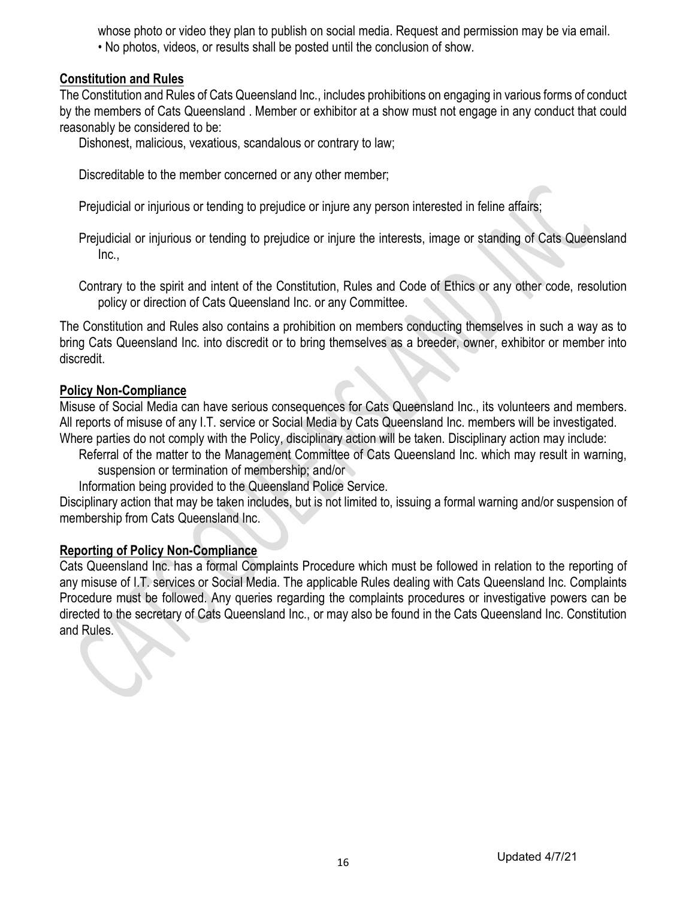whose photo or video they plan to publish on social media. Request and permission may be via email. • No photos, videos, or results shall be posted until the conclusion of show.

# Constitution and Rules

The Constitution and Rules of Cats Queensland Inc., includes prohibitions on engaging in various forms of conduct by the members of Cats Queensland . Member or exhibitor at a show must not engage in any conduct that could reasonably be considered to be:

Dishonest, malicious, vexatious, scandalous or contrary to law;

Discreditable to the member concerned or any other member;

Prejudicial or injurious or tending to prejudice or injure any person interested in feline affairs;

Prejudicial or injurious or tending to prejudice or injure the interests, image or standing of Cats Queensland Inc.,

 Contrary to the spirit and intent of the Constitution, Rules and Code of Ethics or any other code, resolution policy or direction of Cats Queensland Inc. or any Committee.

The Constitution and Rules also contains a prohibition on members conducting themselves in such a way as to bring Cats Queensland Inc. into discredit or to bring themselves as a breeder, owner, exhibitor or member into discredit.

# Policy Non-Compliance

Misuse of Social Media can have serious consequences for Cats Queensland Inc., its volunteers and members. All reports of misuse of any I.T. service or Social Media by Cats Queensland Inc. members will be investigated. Where parties do not comply with the Policy, disciplinary action will be taken. Disciplinary action may include:

Referral of the matter to the Management Committee of Cats Queensland Inc. which may result in warning, suspension or termination of membership; and/or

Information being provided to the Queensland Police Service.

Disciplinary action that may be taken includes, but is not limited to, issuing a formal warning and/or suspension of membership from Cats Queensland Inc.

## Reporting of Policy Non-Compliance

Cats Queensland Inc. has a formal Complaints Procedure which must be followed in relation to the reporting of any misuse of I.T. services or Social Media. The applicable Rules dealing with Cats Queensland Inc. Complaints Procedure must be followed. Any queries regarding the complaints procedures or investigative powers can be directed to the secretary of Cats Queensland Inc., or may also be found in the Cats Queensland Inc. Constitution and Rules.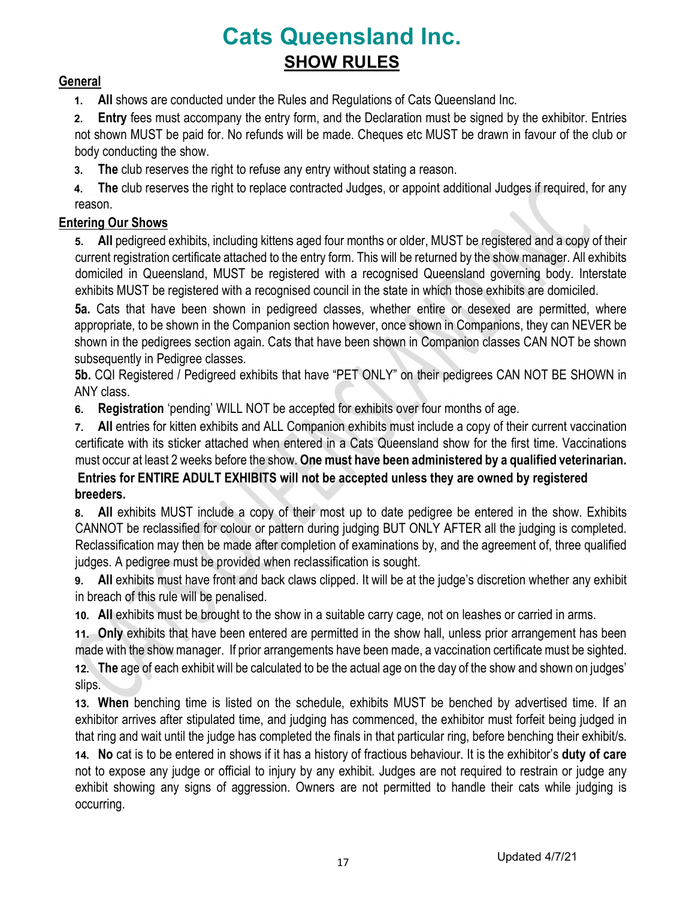# Cats Queensland Inc. SHOW RULES

# **General**

1. All shows are conducted under the Rules and Regulations of Cats Queensland Inc.

2. Entry fees must accompany the entry form, and the Declaration must be signed by the exhibitor. Entries not shown MUST be paid for. No refunds will be made. Cheques etc MUST be drawn in favour of the club or body conducting the show.

3. The club reserves the right to refuse any entry without stating a reason.

4. The club reserves the right to replace contracted Judges, or appoint additional Judges if required, for any reason.

# Entering Our Shows

5. All pedigreed exhibits, including kittens aged four months or older, MUST be registered and a copy of their current registration certificate attached to the entry form. This will be returned by the show manager. All exhibits domiciled in Queensland, MUST be registered with a recognised Queensland governing body. Interstate exhibits MUST be registered with a recognised council in the state in which those exhibits are domiciled.

5a. Cats that have been shown in pedigreed classes, whether entire or desexed are permitted, where appropriate, to be shown in the Companion section however, once shown in Companions, they can NEVER be shown in the pedigrees section again. Cats that have been shown in Companion classes CAN NOT be shown subsequently in Pedigree classes.

5b. CQI Registered / Pedigreed exhibits that have "PET ONLY" on their pedigrees CAN NOT BE SHOWN in ANY class.

6. Registration 'pending' WILL NOT be accepted for exhibits over four months of age.

7. All entries for kitten exhibits and ALL Companion exhibits must include a copy of their current vaccination certificate with its sticker attached when entered in a Cats Queensland show for the first time. Vaccinations must occur at least 2 weeks before the show. One must have been administered by a qualified veterinarian. Entries for ENTIRE ADULT EXHIBITS will not be accepted unless they are owned by registered

# breeders.

8. All exhibits MUST include a copy of their most up to date pedigree be entered in the show. Exhibits CANNOT be reclassified for colour or pattern during judging BUT ONLY AFTER all the judging is completed. Reclassification may then be made after completion of examinations by, and the agreement of, three qualified judges. A pedigree must be provided when reclassification is sought.

9. All exhibits must have front and back claws clipped. It will be at the judge's discretion whether any exhibit in breach of this rule will be penalised.

10. All exhibits must be brought to the show in a suitable carry cage, not on leashes or carried in arms.

11. Only exhibits that have been entered are permitted in the show hall, unless prior arrangement has been made with the show manager. If prior arrangements have been made, a vaccination certificate must be sighted.

12. The age of each exhibit will be calculated to be the actual age on the day of the show and shown on judges' slips.

13. When benching time is listed on the schedule, exhibits MUST be benched by advertised time. If an exhibitor arrives after stipulated time, and judging has commenced, the exhibitor must forfeit being judged in that ring and wait until the judge has completed the finals in that particular ring, before benching their exhibit/s.

14. No cat is to be entered in shows if it has a history of fractious behaviour. It is the exhibitor's duty of care not to expose any judge or official to injury by any exhibit. Judges are not required to restrain or judge any exhibit showing any signs of aggression. Owners are not permitted to handle their cats while judging is occurring.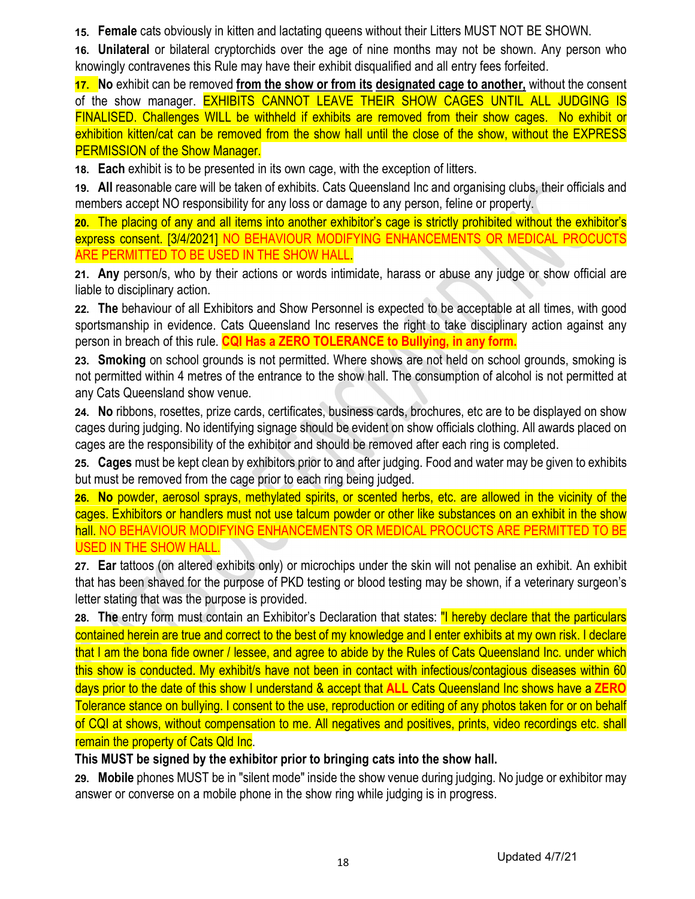15. Female cats obviously in kitten and lactating queens without their Litters MUST NOT BE SHOWN.

16. Unilateral or bilateral cryptorchids over the age of nine months may not be shown. Any person who knowingly contravenes this Rule may have their exhibit disqualified and all entry fees forfeited.

17. No exhibit can be removed from the show or from its designated cage to another, without the consent of the show manager. EXHIBITS CANNOT LEAVE THEIR SHOW CAGES UNTIL ALL JUDGING IS FINALISED. Challenges WILL be withheld if exhibits are removed from their show cages. No exhibit or exhibition kitten/cat can be removed from the show hall until the close of the show, without the EXPRESS PERMISSION of the Show Manager.

18. Each exhibit is to be presented in its own cage, with the exception of litters.

19. All reasonable care will be taken of exhibits. Cats Queensland Inc and organising clubs, their officials and members accept NO responsibility for any loss or damage to any person, feline or property.

20. The placing of any and all items into another exhibitor's cage is strictly prohibited without the exhibitor's express consent. [3/4/2021] NO BEHAVIOUR MODIFYING ENHANCEMENTS OR MEDICAL PROCUCTS ARE PERMITTED TO BE USED IN THE SHOW HALL.

21. Any person/s, who by their actions or words intimidate, harass or abuse any judge or show official are liable to disciplinary action.

22. The behaviour of all Exhibitors and Show Personnel is expected to be acceptable at all times, with good sportsmanship in evidence. Cats Queensland Inc reserves the right to take disciplinary action against any person in breach of this rule. CQI Has a ZERO TOLERANCE to Bullying, in any form.

23. Smoking on school grounds is not permitted. Where shows are not held on school grounds, smoking is not permitted within 4 metres of the entrance to the show hall. The consumption of alcohol is not permitted at any Cats Queensland show venue.

24. No ribbons, rosettes, prize cards, certificates, business cards, brochures, etc are to be displayed on show cages during judging. No identifying signage should be evident on show officials clothing. All awards placed on cages are the responsibility of the exhibitor and should be removed after each ring is completed.

25. Cages must be kept clean by exhibitors prior to and after judging. Food and water may be given to exhibits but must be removed from the cage prior to each ring being judged.

26. No powder, aerosol sprays, methylated spirits, or scented herbs, etc. are allowed in the vicinity of the cages. Exhibitors or handlers must not use talcum powder or other like substances on an exhibit in the show hall. NO BEHAVIOUR MODIFYING ENHANCEMENTS OR MEDICAL PROCUCTS ARE PERMITTED TO BE USED IN THE SHOW HALL.

27. Ear tattoos (on altered exhibits only) or microchips under the skin will not penalise an exhibit. An exhibit that has been shaved for the purpose of PKD testing or blood testing may be shown, if a veterinary surgeon's letter stating that was the purpose is provided.

28. The entry form must contain an Exhibitor's Declaration that states: "I hereby declare that the particulars contained herein are true and correct to the best of my knowledge and I enter exhibits at my own risk. I declare that I am the bona fide owner / lessee, and agree to abide by the Rules of Cats Queensland Inc. under which this show is conducted. My exhibit/s have not been in contact with infectious/contagious diseases within 60 days prior to the date of this show I understand & accept that **ALL** Cats Queensland Inc shows have a **ZERO** Tolerance stance on bullying. I consent to the use, reproduction or editing of any photos taken for or on behalf of CQI at shows, without compensation to me. All negatives and positives, prints, video recordings etc. shall remain the property of Cats Qld Inc.

# This MUST be signed by the exhibitor prior to bringing cats into the show hall.

29. Mobile phones MUST be in "silent mode" inside the show venue during judging. No judge or exhibitor may answer or converse on a mobile phone in the show ring while judging is in progress.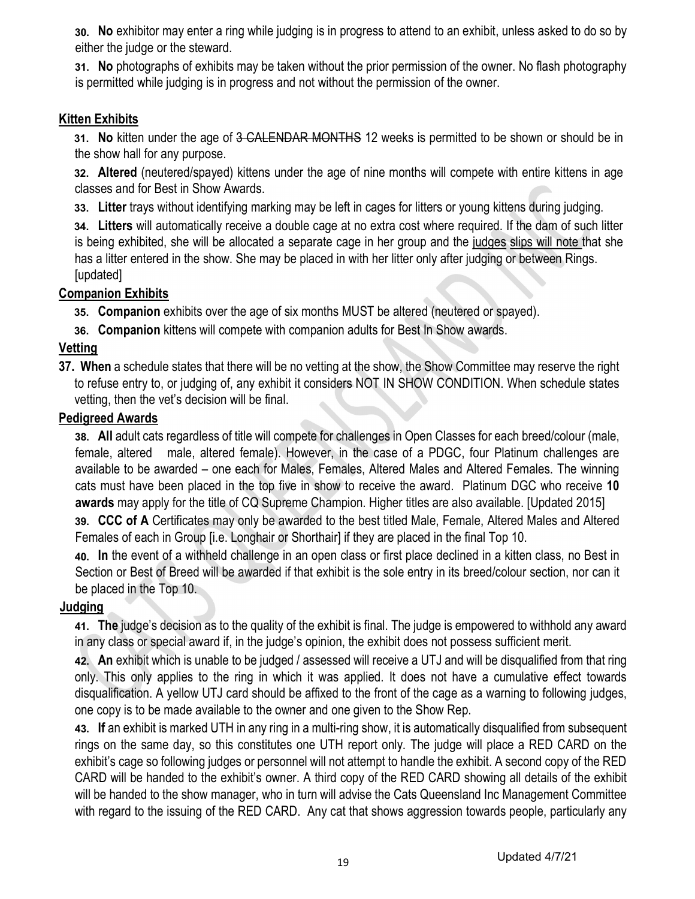30. No exhibitor may enter a ring while judging is in progress to attend to an exhibit, unless asked to do so by either the judge or the steward.

31. No photographs of exhibits may be taken without the prior permission of the owner. No flash photography is permitted while judging is in progress and not without the permission of the owner.

# Kitten Exhibits

31. No kitten under the age of 3 CALENDAR MONTHS 12 weeks is permitted to be shown or should be in the show hall for any purpose.

32. Altered (neutered/spayed) kittens under the age of nine months will compete with entire kittens in age classes and for Best in Show Awards.

33. Litter trays without identifying marking may be left in cages for litters or young kittens during judging.

34. Litters will automatically receive a double cage at no extra cost where required. If the dam of such litter is being exhibited, she will be allocated a separate cage in her group and the judges slips will note that she has a litter entered in the show. She may be placed in with her litter only after judging or between Rings. [updated]

# **Companion Exhibits**

35. Companion exhibits over the age of six months MUST be altered (neutered or spayed).

36. Companion kittens will compete with companion adults for Best In Show awards.

# Vetting

37. When a schedule states that there will be no vetting at the show, the Show Committee may reserve the right to refuse entry to, or judging of, any exhibit it considers NOT IN SHOW CONDITION. When schedule states vetting, then the vet's decision will be final.

# Pedigreed Awards

38. All adult cats regardless of title will compete for challenges in Open Classes for each breed/colour (male, female, altered male, altered female). However, in the case of a PDGC, four Platinum challenges are available to be awarded – one each for Males, Females, Altered Males and Altered Females. The winning cats must have been placed in the top five in show to receive the award. Platinum DGC who receive 10 awards may apply for the title of CQ Supreme Champion. Higher titles are also available. [Updated 2015]

39. CCC of A Certificates may only be awarded to the best titled Male, Female, Altered Males and Altered Females of each in Group [i.e. Longhair or Shorthair] if they are placed in the final Top 10.

40. In the event of a withheld challenge in an open class or first place declined in a kitten class, no Best in Section or Best of Breed will be awarded if that exhibit is the sole entry in its breed/colour section, nor can it be placed in the Top 10.

# Judging

41. The judge's decision as to the quality of the exhibit is final. The judge is empowered to withhold any award in any class or special award if, in the judge's opinion, the exhibit does not possess sufficient merit.

42. An exhibit which is unable to be judged / assessed will receive a UTJ and will be disqualified from that ring only. This only applies to the ring in which it was applied. It does not have a cumulative effect towards disqualification. A yellow UTJ card should be affixed to the front of the cage as a warning to following judges, one copy is to be made available to the owner and one given to the Show Rep.

43. If an exhibit is marked UTH in any ring in a multi-ring show, it is automatically disqualified from subsequent rings on the same day, so this constitutes one UTH report only. The judge will place a RED CARD on the exhibit's cage so following judges or personnel will not attempt to handle the exhibit. A second copy of the RED CARD will be handed to the exhibit's owner. A third copy of the RED CARD showing all details of the exhibit will be handed to the show manager, who in turn will advise the Cats Queensland Inc Management Committee with regard to the issuing of the RED CARD. Any cat that shows aggression towards people, particularly any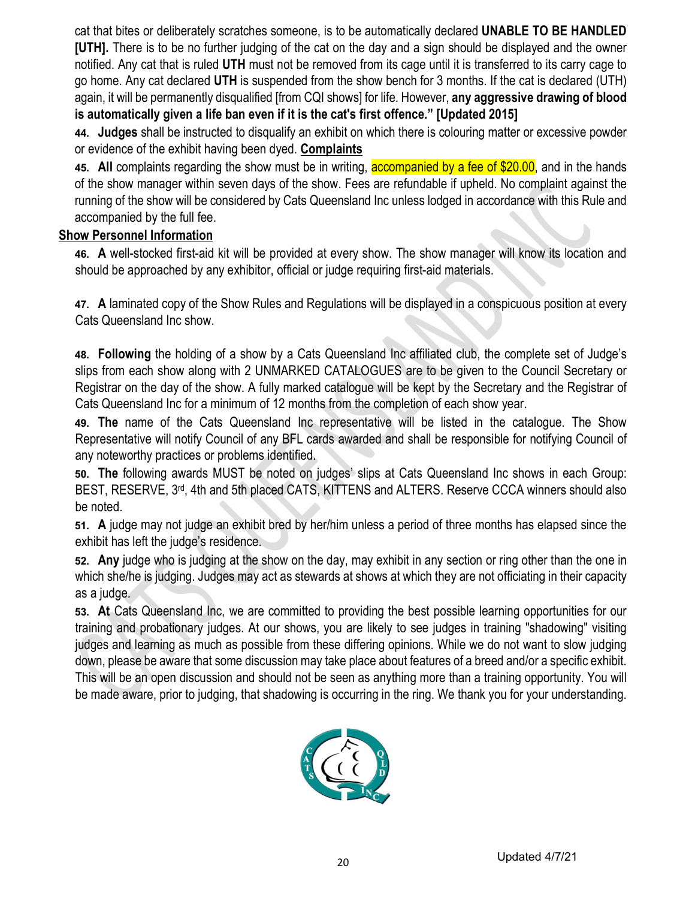cat that bites or deliberately scratches someone, is to be automatically declared UNABLE TO BE HANDLED [UTH]. There is to be no further judging of the cat on the day and a sign should be displayed and the owner notified. Any cat that is ruled UTH must not be removed from its cage until it is transferred to its carry cage to go home. Any cat declared UTH is suspended from the show bench for 3 months. If the cat is declared (UTH) again, it will be permanently disqualified [from CQI shows] for life. However, any aggressive drawing of blood is automatically given a life ban even if it is the cat's first offence." [Updated 2015]

44. Judges shall be instructed to disqualify an exhibit on which there is colouring matter or excessive powder or evidence of the exhibit having been dyed. Complaints

45. All complaints regarding the show must be in writing, accompanied by a fee of \$20.00, and in the hands of the show manager within seven days of the show. Fees are refundable if upheld. No complaint against the running of the show will be considered by Cats Queensland Inc unless lodged in accordance with this Rule and accompanied by the full fee.

# Show Personnel Information

46. A well-stocked first-aid kit will be provided at every show. The show manager will know its location and should be approached by any exhibitor, official or judge requiring first-aid materials.

47. A laminated copy of the Show Rules and Regulations will be displayed in a conspicuous position at every Cats Queensland Inc show.

48. Following the holding of a show by a Cats Queensland Inc affiliated club, the complete set of Judge's slips from each show along with 2 UNMARKED CATALOGUES are to be given to the Council Secretary or Registrar on the day of the show. A fully marked catalogue will be kept by the Secretary and the Registrar of Cats Queensland Inc for a minimum of 12 months from the completion of each show year.

49. The name of the Cats Queensland Inc representative will be listed in the catalogue. The Show Representative will notify Council of any BFL cards awarded and shall be responsible for notifying Council of any noteworthy practices or problems identified.

50. The following awards MUST be noted on judges' slips at Cats Queensland Inc shows in each Group: BEST, RESERVE, 3<sup>rd</sup>, 4th and 5th placed CATS, KITTENS and ALTERS. Reserve CCCA winners should also be noted.

51. A judge may not judge an exhibit bred by her/him unless a period of three months has elapsed since the exhibit has left the judge's residence.

52. Any judge who is judging at the show on the day, may exhibit in any section or ring other than the one in which she/he is judging. Judges may act as stewards at shows at which they are not officiating in their capacity as a judge.

53. At Cats Queensland Inc, we are committed to providing the best possible learning opportunities for our training and probationary judges. At our shows, you are likely to see judges in training "shadowing" visiting judges and learning as much as possible from these differing opinions. While we do not want to slow judging down, please be aware that some discussion may take place about features of a breed and/or a specific exhibit. This will be an open discussion and should not be seen as anything more than a training opportunity. You will be made aware, prior to judging, that shadowing is occurring in the ring. We thank you for your understanding.